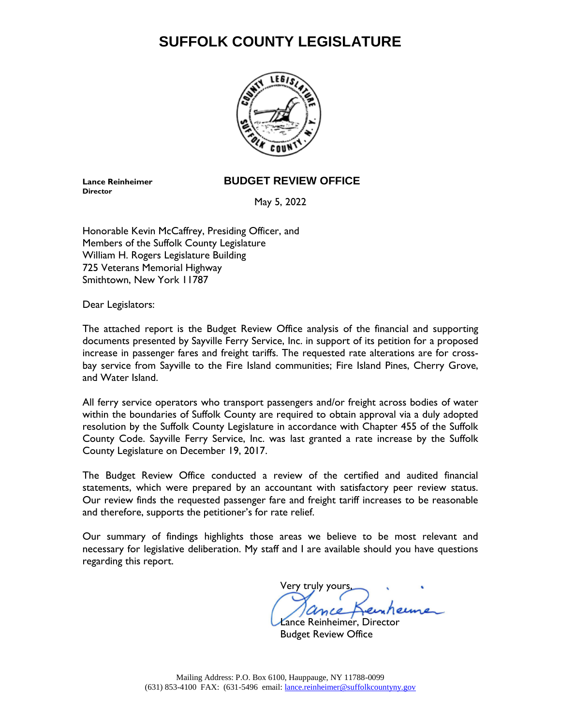# **SUFFOLK COUNTY LEGISLATURE**



**Director**

**Lance Reinheimer BUDGET REVIEW OFFICE**

May 5, 2022

Honorable Kevin McCaffrey, Presiding Officer, and Members of the Suffolk County Legislature William H. Rogers Legislature Building 725 Veterans Memorial Highway Smithtown, New York 11787

Dear Legislators:

The attached report is the Budget Review Office analysis of the financial and supporting documents presented by Sayville Ferry Service, Inc. in support of its petition for a proposed increase in passenger fares and freight tariffs. The requested rate alterations are for crossbay service from Sayville to the Fire Island communities; Fire Island Pines, Cherry Grove, and Water Island.

All ferry service operators who transport passengers and/or freight across bodies of water within the boundaries of Suffolk County are required to obtain approval via a duly adopted resolution by the Suffolk County Legislature in accordance with Chapter 455 of the Suffolk County Code. Sayville Ferry Service, Inc. was last granted a rate increase by the Suffolk County Legislature on December 19, 2017.

The Budget Review Office conducted a review of the certified and audited financial statements, which were prepared by an accountant with satisfactory peer review status. Our review finds the requested passenger fare and freight tariff increases to be reasonable and therefore, supports the petitioner's for rate relief.

Our summary of findings highlights those areas we believe to be most relevant and necessary for legislative deliberation. My staff and I are available should you have questions regarding this report.

Very truly yours,

Lance Reinheimer, Director Budget Review Office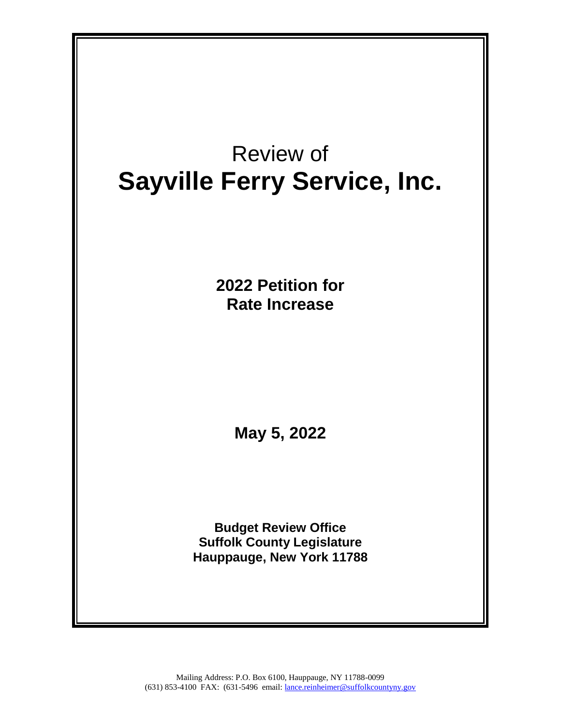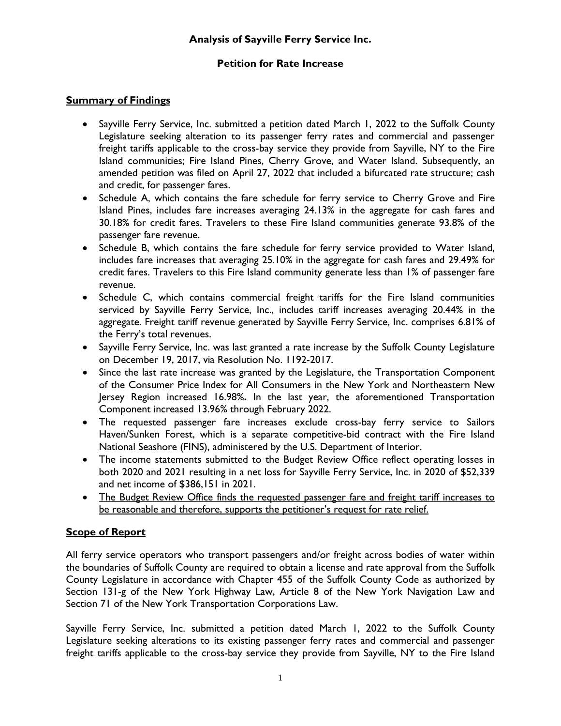# **Analysis of Sayville Ferry Service Inc.**

# **Petition for Rate Increase**

# **Summary of Findings**

- Sayville Ferry Service, Inc. submitted a petition dated March 1, 2022 to the Suffolk County Legislature seeking alteration to its passenger ferry rates and commercial and passenger freight tariffs applicable to the cross-bay service they provide from Sayville, NY to the Fire Island communities; Fire Island Pines, Cherry Grove, and Water Island. Subsequently, an amended petition was filed on April 27, 2022 that included a bifurcated rate structure; cash and credit, for passenger fares.
- Schedule A, which contains the fare schedule for ferry service to Cherry Grove and Fire Island Pines, includes fare increases averaging 24.13% in the aggregate for cash fares and 30.18% for credit fares. Travelers to these Fire Island communities generate 93.8% of the passenger fare revenue.
- Schedule B, which contains the fare schedule for ferry service provided to Water Island, includes fare increases that averaging 25.10% in the aggregate for cash fares and 29.49% for credit fares. Travelers to this Fire Island community generate less than 1% of passenger fare revenue.
- Schedule C, which contains commercial freight tariffs for the Fire Island communities serviced by Sayville Ferry Service, Inc., includes tariff increases averaging 20.44% in the aggregate. Freight tariff revenue generated by Sayville Ferry Service, Inc. comprises 6.81% of the Ferry's total revenues.
- Sayville Ferry Service, Inc. was last granted a rate increase by the Suffolk County Legislature on December 19, 2017, via Resolution No. 1192-2017.
- Since the last rate increase was granted by the Legislature, the Transportation Component of the Consumer Price Index for All Consumers in the New York and Northeastern New Jersey Region increased 16.98%**.** In the last year, the aforementioned Transportation Component increased 13.96% through February 2022.
- The requested passenger fare increases exclude cross-bay ferry service to Sailors Haven/Sunken Forest, which is a separate competitive-bid contract with the Fire Island National Seashore (FINS), administered by the U.S. Department of Interior.
- The income statements submitted to the Budget Review Office reflect operating losses in both 2020 and 2021 resulting in a net loss for Sayville Ferry Service, Inc. in 2020 of \$52,339 and net income of \$386,151 in 2021.
- The Budget Review Office finds the requested passenger fare and freight tariff increases to be reasonable and therefore, supports the petitioner's request for rate relief.

# **Scope of Report**

All ferry service operators who transport passengers and/or freight across bodies of water within the boundaries of Suffolk County are required to obtain a license and rate approval from the Suffolk County Legislature in accordance with Chapter 455 of the Suffolk County Code as authorized by Section 131-g of the New York Highway Law, Article 8 of the New York Navigation Law and Section 71 of the New York Transportation Corporations Law.

Sayville Ferry Service, Inc. submitted a petition dated March 1, 2022 to the Suffolk County Legislature seeking alterations to its existing passenger ferry rates and commercial and passenger freight tariffs applicable to the cross-bay service they provide from Sayville, NY to the Fire Island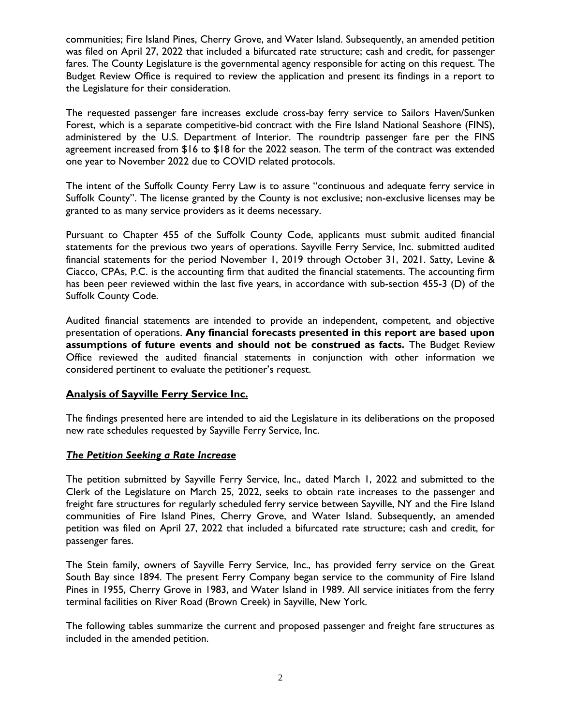communities; Fire Island Pines, Cherry Grove, and Water Island. Subsequently, an amended petition was filed on April 27, 2022 that included a bifurcated rate structure; cash and credit, for passenger fares. The County Legislature is the governmental agency responsible for acting on this request. The Budget Review Office is required to review the application and present its findings in a report to the Legislature for their consideration.

The requested passenger fare increases exclude cross-bay ferry service to Sailors Haven/Sunken Forest, which is a separate competitive-bid contract with the Fire Island National Seashore (FINS), administered by the U.S. Department of Interior. The roundtrip passenger fare per the FINS agreement increased from \$16 to \$18 for the 2022 season. The term of the contract was extended one year to November 2022 due to COVID related protocols.

The intent of the Suffolk County Ferry Law is to assure "continuous and adequate ferry service in Suffolk County". The license granted by the County is not exclusive; non-exclusive licenses may be granted to as many service providers as it deems necessary.

Pursuant to Chapter 455 of the Suffolk County Code, applicants must submit audited financial statements for the previous two years of operations. Sayville Ferry Service, Inc. submitted audited financial statements for the period November 1, 2019 through October 31, 2021. Satty, Levine & Ciacco, CPAs, P.C. is the accounting firm that audited the financial statements. The accounting firm has been peer reviewed within the last five years, in accordance with sub-section 455-3 (D) of the Suffolk County Code.

Audited financial statements are intended to provide an independent, competent, and objective presentation of operations. **Any financial forecasts presented in this report are based upon assumptions of future events and should not be construed as facts.** The Budget Review Office reviewed the audited financial statements in conjunction with other information we considered pertinent to evaluate the petitioner's request.

# **Analysis of Sayville Ferry Service Inc.**

The findings presented here are intended to aid the Legislature in its deliberations on the proposed new rate schedules requested by Sayville Ferry Service, Inc.

#### *The Petition Seeking a Rate Increase*

The petition submitted by Sayville Ferry Service, Inc., dated March 1, 2022 and submitted to the Clerk of the Legislature on March 25, 2022, seeks to obtain rate increases to the passenger and freight fare structures for regularly scheduled ferry service between Sayville, NY and the Fire Island communities of Fire Island Pines, Cherry Grove, and Water Island. Subsequently, an amended petition was filed on April 27, 2022 that included a bifurcated rate structure; cash and credit, for passenger fares.

The Stein family, owners of Sayville Ferry Service, Inc., has provided ferry service on the Great South Bay since 1894. The present Ferry Company began service to the community of Fire Island Pines in 1955, Cherry Grove in 1983, and Water Island in 1989. All service initiates from the ferry terminal facilities on River Road (Brown Creek) in Sayville, New York.

The following tables summarize the current and proposed passenger and freight fare structures as included in the amended petition.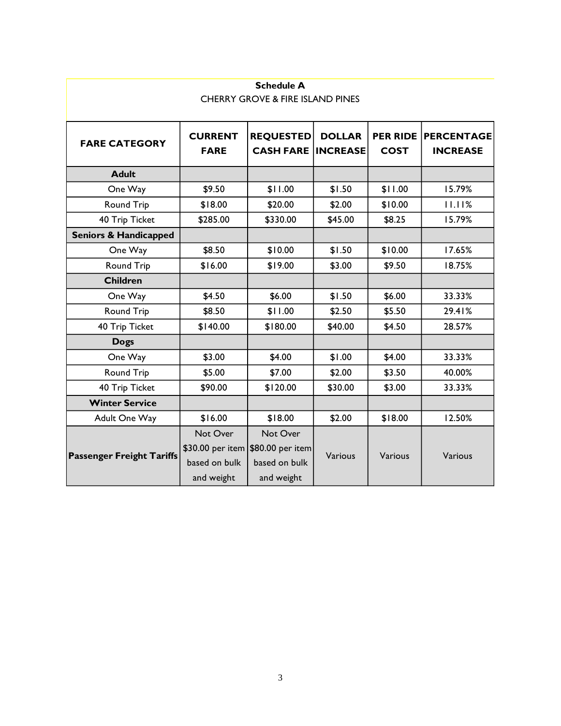| <b>Schedule A</b><br><b>CHERRY GROVE &amp; FIRE ISLAND PINES</b> |                           |                                                 |                  |                                               |  |  |  |
|------------------------------------------------------------------|---------------------------|-------------------------------------------------|------------------|-----------------------------------------------|--|--|--|
|                                                                  |                           |                                                 |                  |                                               |  |  |  |
| <b>CURRENT</b><br><b>FARE</b>                                    | <b>REQUESTED</b>          | <b>DOLLAR</b>                                   | <b>COST</b>      | <b>PER RIDE PERCENTAGE</b><br><b>INCREASE</b> |  |  |  |
|                                                                  |                           |                                                 |                  |                                               |  |  |  |
| \$9.50                                                           | \$11.00                   | \$1.50                                          | \$11.00          | 15.79%                                        |  |  |  |
| \$18.00                                                          | \$20.00                   | \$2.00                                          | \$10.00          | 11.11%                                        |  |  |  |
| \$285.00                                                         | \$330.00                  | \$45.00                                         | \$8.25           | 15.79%                                        |  |  |  |
|                                                                  |                           |                                                 |                  |                                               |  |  |  |
| \$8.50                                                           | \$10.00                   | \$1.50                                          | \$10.00          | 17.65%                                        |  |  |  |
| \$16.00                                                          | \$19.00                   | \$3.00                                          | \$9.50           | 18.75%                                        |  |  |  |
|                                                                  |                           |                                                 |                  |                                               |  |  |  |
| \$4.50                                                           | \$6.00                    | \$1.50                                          | \$6.00           | 33.33%                                        |  |  |  |
| \$8.50                                                           | \$11.00                   | \$2.50                                          | \$5.50           | 29.41%                                        |  |  |  |
| \$140.00                                                         | \$180.00                  | \$40.00                                         | \$4.50           | 28.57%                                        |  |  |  |
|                                                                  |                           |                                                 |                  |                                               |  |  |  |
| \$3.00                                                           | \$4.00                    | \$1.00                                          | \$4.00           | 33.33%                                        |  |  |  |
| \$5.00                                                           | \$7.00                    | \$2.00                                          | \$3.50           | 40.00%                                        |  |  |  |
| \$90.00                                                          | \$120.00                  | \$30.00                                         | \$3.00           | 33.33%                                        |  |  |  |
|                                                                  |                           |                                                 |                  |                                               |  |  |  |
| \$16.00                                                          | \$18.00                   | \$2.00                                          | \$18.00          | 12.50%                                        |  |  |  |
| Not Over<br>based on bulk                                        | Not Over<br>based on bulk | Various                                         | Various          | Various                                       |  |  |  |
|                                                                  | and weight                | \$30.00 per item \$80.00 per item<br>and weight | <b>CASH FARE</b> | <b>INCREASE</b>                               |  |  |  |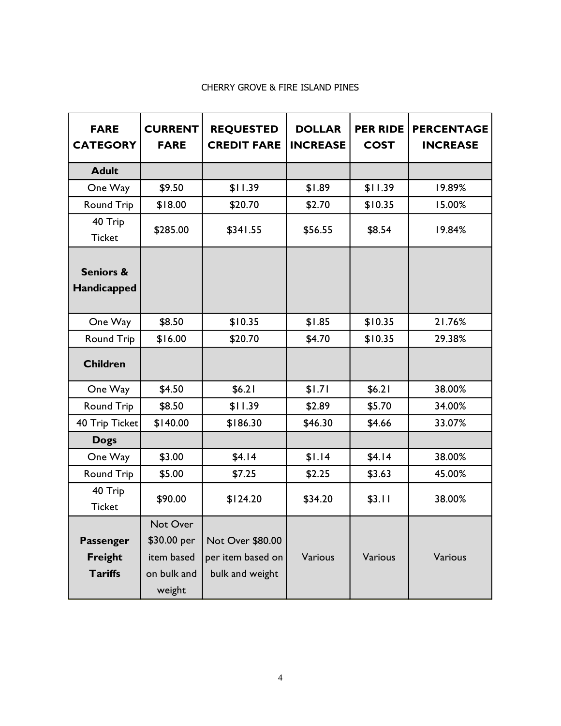# CHERRY GROVE & FIRE ISLAND PINES

| <b>FARE</b><br><b>CATEGORY</b>      | <b>CURRENT</b><br><b>FARE</b>         | <b>REQUESTED</b><br><b>CREDIT FARE</b> | <b>DOLLAR</b><br><b>INCREASE</b> | <b>PER RIDE</b><br><b>COST</b> | <b>PERCENTAGE</b><br><b>INCREASE</b> |
|-------------------------------------|---------------------------------------|----------------------------------------|----------------------------------|--------------------------------|--------------------------------------|
| <b>Adult</b>                        |                                       |                                        |                                  |                                |                                      |
| One Way                             | \$9.50                                | \$11.39                                | \$1.89                           | \$11.39                        | 19.89%                               |
| <b>Round Trip</b>                   | \$18.00                               | \$20.70                                | \$2.70                           | \$10.35                        | 15.00%                               |
| 40 Trip<br><b>Ticket</b>            | \$285.00                              | \$341.55                               | \$56.55                          | \$8.54                         | 19.84%                               |
| <b>Seniors &amp;</b><br>Handicapped |                                       |                                        |                                  |                                |                                      |
| One Way                             | \$8.50                                | \$10.35                                | \$1.85                           | \$10.35                        | 21.76%                               |
| <b>Round Trip</b>                   | \$16.00                               | \$20.70                                | \$4.70                           | \$10.35                        | 29.38%                               |
| <b>Children</b>                     |                                       |                                        |                                  |                                |                                      |
| One Way                             | \$4.50                                | \$6.21                                 | \$1.71                           | \$6.21                         | 38.00%                               |
| Round Trip                          | \$8.50                                | \$11.39                                | \$2.89                           | \$5.70                         | 34.00%                               |
| 40 Trip Ticket                      | \$140.00                              | \$186.30                               | \$46.30                          | \$4.66                         | 33.07%                               |
| <b>Dogs</b>                         |                                       |                                        |                                  |                                |                                      |
| One Way                             | \$3.00                                | \$4.14                                 | \$1.14                           | \$4.14                         | 38.00%                               |
| <b>Round Trip</b>                   | \$5.00                                | \$7.25                                 | \$2.25                           | \$3.63                         | 45.00%                               |
| 40 Trip<br><b>Ticket</b>            | \$90.00                               | \$124.20                               | \$34.20                          | \$3.11                         | 38.00%                               |
| Passenger<br><b>Freight</b>         | Not Over<br>\$30.00 per<br>item based | Not Over \$80.00<br>per item based on  | Various                          | Various                        | Various                              |
| <b>Tariffs</b>                      | on bulk and<br>weight                 | bulk and weight                        |                                  |                                |                                      |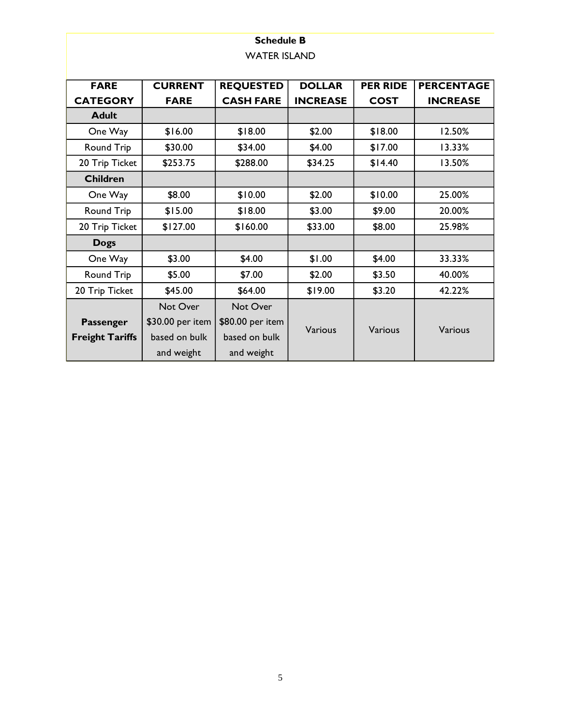# **Schedule B** WATER ISLAND

| <b>FARE</b>            | <b>CURRENT</b>   | <b>REQUESTED</b> | <b>DOLLAR</b>   | <b>PER RIDE</b> | <b>PERCENTAGE</b> |
|------------------------|------------------|------------------|-----------------|-----------------|-------------------|
| <b>CATEGORY</b>        | <b>FARE</b>      | <b>CASH FARE</b> | <b>INCREASE</b> | <b>COST</b>     | <b>INCREASE</b>   |
| <b>Adult</b>           |                  |                  |                 |                 |                   |
| One Way                | \$16.00          | \$18.00          | \$2.00          | \$18.00         | 12.50%            |
| Round Trip             | \$30.00          | \$34.00          | \$4.00          | \$17.00         | 13.33%            |
| 20 Trip Ticket         | \$253.75         | \$288.00         | \$34.25         | \$14.40         | 13.50%            |
| <b>Children</b>        |                  |                  |                 |                 |                   |
| One Way                | \$8.00           | \$10.00          | \$2.00          | \$10.00         | 25.00%            |
| Round Trip             | \$15.00          | \$18.00          | \$3.00          | \$9.00          | 20.00%            |
| 20 Trip Ticket         | \$127.00         | \$160.00         | \$33.00         | \$8.00          | 25.98%            |
| <b>Dogs</b>            |                  |                  |                 |                 |                   |
| One Way                | \$3.00           | \$4.00           | \$1.00          | \$4.00          | 33.33%            |
| Round Trip             | \$5.00           | \$7.00           | \$2.00          | \$3.50          | 40.00%            |
| 20 Trip Ticket         | \$45.00          | \$64.00          | \$19.00         | \$3.20          | 42.22%            |
|                        | Not Over         | Not Over         |                 |                 |                   |
| Passenger              | \$30.00 per item | \$80.00 per item | <b>Various</b>  |                 |                   |
| <b>Freight Tariffs</b> | based on bulk    | based on bulk    |                 | Various         | Various           |
|                        | and weight       | and weight       |                 |                 |                   |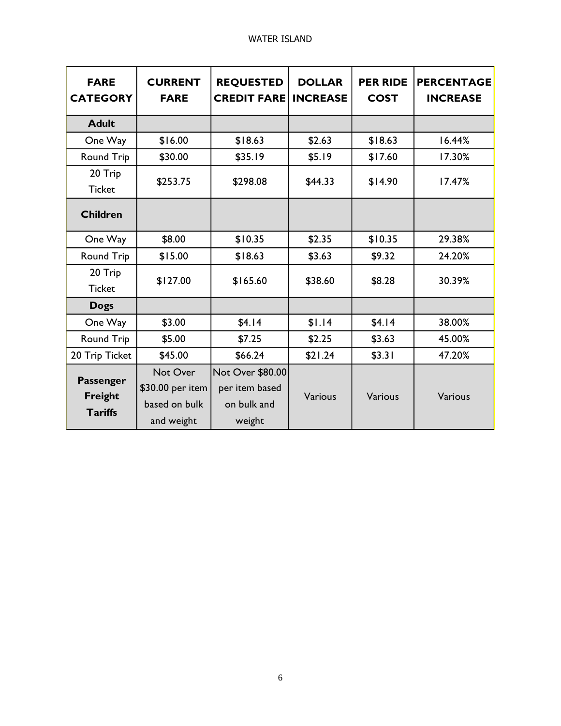| <b>FARE</b><br><b>CATEGORY</b>         | <b>CURRENT</b><br><b>FARE</b>                               | <b>REQUESTED</b><br><b>CREDIT FARE</b>                      | <b>DOLLAR</b><br><b>INCREASE</b> | <b>PER RIDE</b><br><b>COST</b> | <b>PERCENTAGE</b><br><b>INCREASE</b> |
|----------------------------------------|-------------------------------------------------------------|-------------------------------------------------------------|----------------------------------|--------------------------------|--------------------------------------|
| <b>Adult</b>                           |                                                             |                                                             |                                  |                                |                                      |
| One Way                                | \$16.00                                                     | \$18.63                                                     | \$2.63                           | \$18.63                        | 16.44%                               |
| <b>Round Trip</b>                      | \$30.00                                                     | \$35.19                                                     | \$5.19                           | \$17.60                        | 17.30%                               |
| 20 Trip<br><b>Ticket</b>               | \$253.75                                                    | \$298.08                                                    | \$44.33                          | \$14.90                        | 17.47%                               |
| <b>Children</b>                        |                                                             |                                                             |                                  |                                |                                      |
| One Way                                | \$8.00                                                      | \$10.35                                                     | \$2.35                           | \$10.35                        | 29.38%                               |
| <b>Round Trip</b>                      | \$15.00                                                     | \$18.63                                                     | \$3.63                           | \$9.32                         | 24.20%                               |
| 20 Trip<br><b>Ticket</b>               | \$127.00                                                    | \$165.60                                                    | \$38.60                          | \$8.28                         | 30.39%                               |
| <b>Dogs</b>                            |                                                             |                                                             |                                  |                                |                                      |
| One Way                                | \$3.00                                                      | \$4.14                                                      | \$1.14                           | \$4.14                         | 38.00%                               |
| <b>Round Trip</b>                      | \$5.00                                                      | \$7.25                                                      | \$2.25                           | \$3.63                         | 45.00%                               |
| 20 Trip Ticket                         | \$45.00                                                     | \$66.24                                                     | \$21.24                          | \$3.31                         | 47.20%                               |
| Passenger<br>Freight<br><b>Tariffs</b> | Not Over<br>\$30.00 per item<br>based on bulk<br>and weight | Not Over \$80.00<br>per item based<br>on bulk and<br>weight | Various                          | Various                        | <b>Various</b>                       |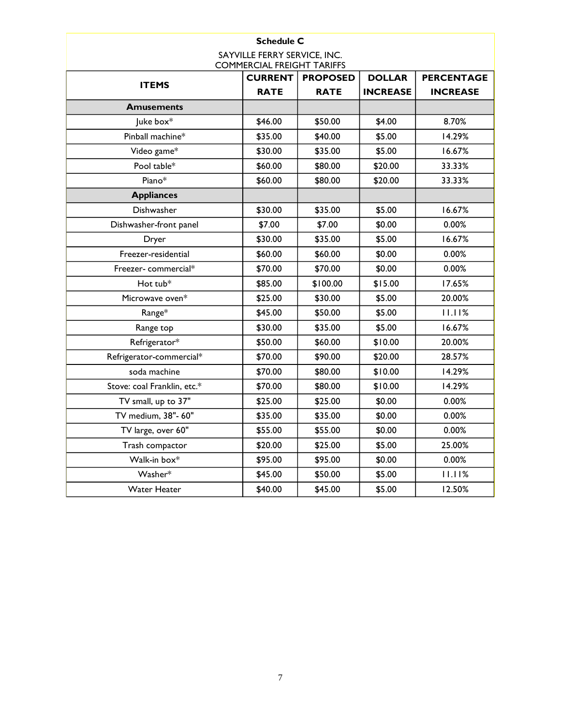| <b>Schedule C</b>                                                 |                |                 |                 |                   |
|-------------------------------------------------------------------|----------------|-----------------|-----------------|-------------------|
| SAYVILLE FERRY SERVICE, INC.<br><b>COMMERCIAL FREIGHT TARIFFS</b> |                |                 |                 |                   |
|                                                                   | <b>CURRENT</b> | <b>PROPOSED</b> | <b>DOLLAR</b>   | <b>PERCENTAGE</b> |
| <b>ITEMS</b>                                                      | <b>RATE</b>    | <b>RATE</b>     | <b>INCREASE</b> | <b>INCREASE</b>   |
| <b>Amusements</b>                                                 |                |                 |                 |                   |
| Juke box*                                                         | \$46.00        | \$50.00         | \$4.00          | 8.70%             |
| Pinball machine*                                                  | \$35.00        | \$40.00         | \$5.00          | 14.29%            |
| Video game*                                                       | \$30.00        | \$35.00         | \$5.00          | 16.67%            |
| Pool table*                                                       | \$60.00        | \$80.00         | \$20.00         | 33.33%            |
| Piano*                                                            | \$60.00        | \$80.00         | \$20.00         | 33.33%            |
| <b>Appliances</b>                                                 |                |                 |                 |                   |
| Dishwasher                                                        | \$30.00        | \$35.00         | \$5.00          | 16.67%            |
| Dishwasher-front panel                                            | \$7.00         | \$7.00          | \$0.00          | 0.00%             |
| Dryer                                                             | \$30.00        | \$35.00         | \$5.00          | 16.67%            |
| Freezer-residential                                               | \$60.00        | \$60.00         | \$0.00          | 0.00%             |
| Freezer-commercial*                                               | \$70.00        | \$70.00         | \$0.00          | 0.00%             |
| Hot tub*                                                          | \$85.00        | \$100.00        | \$15.00         | 17.65%            |
| Microwave oven*                                                   | \$25.00        | \$30.00         | \$5.00          | 20.00%            |
| Range*                                                            | \$45.00        | \$50.00         | \$5.00          | 11.11%            |
| Range top                                                         | \$30.00        | \$35.00         | \$5.00          | 16.67%            |
| Refrigerator*                                                     | \$50.00        | \$60.00         | \$10.00         | 20.00%            |
| Refrigerator-commercial*                                          | \$70.00        | \$90.00         | \$20.00         | 28.57%            |
| soda machine                                                      | \$70.00        | \$80.00         | \$10.00         | 14.29%            |
| Stove: coal Franklin, etc.*                                       | \$70.00        | \$80.00         | \$10.00         | 14.29%            |
| TV small, up to 37"                                               | \$25.00        | \$25.00         | \$0.00          | 0.00%             |
| TV medium, 38"- 60"                                               | \$35.00        | \$35.00         | \$0.00          | 0.00%             |
| TV large, over 60"                                                | \$55.00        | \$55.00         | \$0.00          | 0.00%             |
| Trash compactor                                                   | \$20.00        | \$25.00         | \$5.00          | 25.00%            |
| Walk-in box*                                                      | \$95.00        | \$95.00         | \$0.00          | 0.00%             |
| Washer*                                                           | \$45.00        | \$50.00         | \$5.00          | 11.11%            |
| <b>Water Heater</b>                                               | \$40.00        | \$45.00         | \$5.00          | 12.50%            |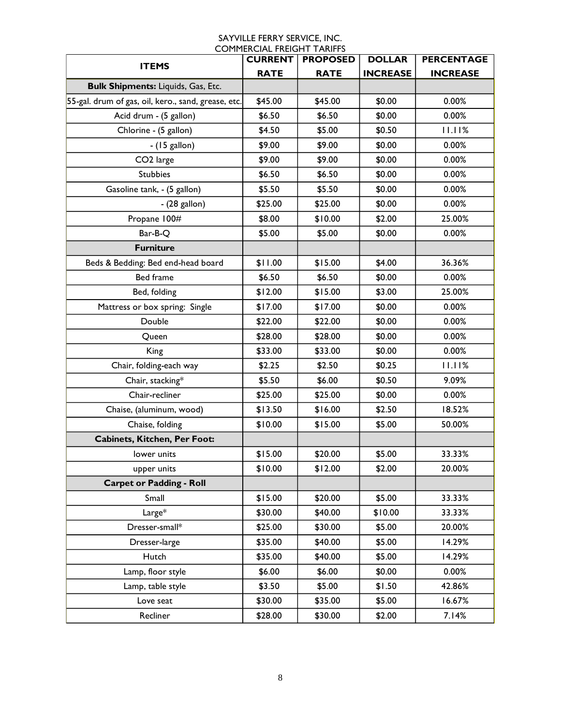|                                                     | COI II IERCIAE I REIGHT TARIH I J<br><b>CURRENT</b> | <b>PROPOSED</b> | <b>DOLLAR</b>   | <b>PERCENTAGE</b> |
|-----------------------------------------------------|-----------------------------------------------------|-----------------|-----------------|-------------------|
| <b>ITEMS</b>                                        | <b>RATE</b>                                         | <b>RATE</b>     | <b>INCREASE</b> | <b>INCREASE</b>   |
| <b>Bulk Shipments: Liquids, Gas, Etc.</b>           |                                                     |                 |                 |                   |
| 55-gal. drum of gas, oil, kero., sand, grease, etc. | \$45.00                                             | \$45.00         | \$0.00          | 0.00%             |
| Acid drum - (5 gallon)                              | \$6.50                                              | \$6.50          | \$0.00          | 0.00%             |
| Chlorine - (5 gallon)                               | \$4.50                                              | \$5.00          | \$0.50          | 11.11%            |
| $-$ (15 gallon)                                     | \$9.00                                              | \$9.00          | \$0.00          | 0.00%             |
| CO <sub>2</sub> large                               | \$9.00                                              | \$9.00          | \$0.00          | 0.00%             |
| <b>Stubbies</b>                                     | \$6.50                                              | \$6.50          | \$0.00          | 0.00%             |
| Gasoline tank, - (5 gallon)                         | \$5.50                                              | \$5.50          | \$0.00          | 0.00%             |
| $-(28$ gallon)                                      | \$25.00                                             | \$25.00         | \$0.00          | 0.00%             |
| Propane 100#                                        | \$8.00                                              | \$10.00         | \$2.00          | 25.00%            |
| Bar-B-Q                                             | \$5.00                                              | \$5.00          | \$0.00          | 0.00%             |
| <b>Furniture</b>                                    |                                                     |                 |                 |                   |
| Beds & Bedding: Bed end-head board                  | \$11.00                                             | \$15.00         | \$4.00          | 36.36%            |
| Bed frame                                           | \$6.50                                              | \$6.50          | \$0.00          | 0.00%             |
| Bed, folding                                        | \$12.00                                             | \$15.00         | \$3.00          | 25.00%            |
| Mattress or box spring: Single                      | \$17.00                                             | \$17.00         | \$0.00          | 0.00%             |
| Double                                              | \$22.00                                             | \$22.00         | \$0.00          | 0.00%             |
| Queen                                               | \$28.00                                             | \$28.00         | \$0.00          | 0.00%             |
| King                                                | \$33.00                                             | \$33.00         | \$0.00          | 0.00%             |
| Chair, folding-each way                             | \$2.25                                              | \$2.50          | \$0.25          | 11.11%            |
| Chair, stacking*                                    | \$5.50                                              | \$6.00          | \$0.50          | 9.09%             |
| Chair-recliner                                      | \$25.00                                             | \$25.00         | \$0.00          | 0.00%             |
| Chaise, (aluminum, wood)                            | \$13.50                                             | \$16.00         | \$2.50          | 18.52%            |
| Chaise, folding                                     | \$10.00                                             | \$15.00         | \$5.00          | 50.00%            |
| Cabinets, Kitchen, Per Foot:                        |                                                     |                 |                 |                   |
| lower units                                         | \$15.00                                             | \$20.00         | \$5.00          | 33.33%            |
| upper units                                         | \$10.00                                             | \$12.00         | \$2.00          | 20.00%            |
| <b>Carpet or Padding - Roll</b>                     |                                                     |                 |                 |                   |
| Small                                               | \$15.00                                             | \$20.00         | \$5.00          | 33.33%            |
| Large*                                              | \$30.00                                             | \$40.00         | \$10.00         | 33.33%            |
| Dresser-small*                                      | \$25.00                                             | \$30.00         | \$5.00          | 20.00%            |
| Dresser-large                                       | \$35.00                                             | \$40.00         | \$5.00          | 14.29%            |
| Hutch                                               | \$35.00                                             | \$40.00         | \$5.00          | 14.29%            |
| Lamp, floor style                                   | \$6.00                                              | \$6.00          | \$0.00          | 0.00%             |
| Lamp, table style                                   | \$3.50                                              | \$5.00          | \$1.50          | 42.86%            |
| Love seat                                           | \$30.00                                             | \$35.00         | \$5.00          | 16.67%            |
| Recliner                                            | \$28.00                                             | \$30.00         | \$2.00          | 7.14%             |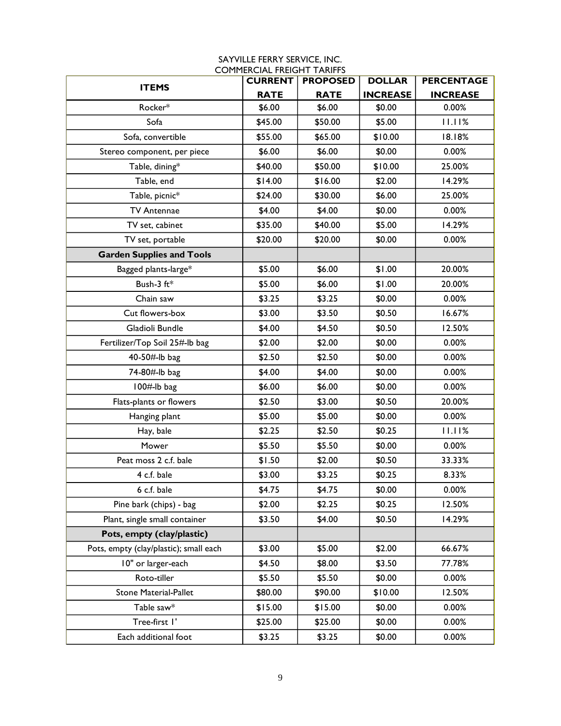| <b>ITEMS</b>                           | <b>CURRENT</b> | <b>PROPOSED</b> | <b>DOLLAR</b>   | <b>PERCENTAGE</b> |
|----------------------------------------|----------------|-----------------|-----------------|-------------------|
|                                        | <b>RATE</b>    | <b>RATE</b>     | <b>INCREASE</b> | <b>INCREASE</b>   |
| Rocker*                                | \$6.00         | \$6.00          | \$0.00          | 0.00%             |
| Sofa                                   | \$45.00        | \$50.00         | \$5.00          | 11.11%            |
| Sofa, convertible                      | \$55.00        | \$65.00         | \$10.00         | 18.18%            |
| Stereo component, per piece            | \$6.00         | \$6.00          | \$0.00          | 0.00%             |
| Table, dining*                         | \$40.00        | \$50.00         | \$10.00         | 25.00%            |
| Table, end                             | \$14.00        | \$16.00         | \$2.00          | 14.29%            |
| Table, picnic*                         | \$24.00        | \$30.00         | \$6.00          | 25.00%            |
| <b>TV Antennae</b>                     | \$4.00         | \$4.00          | \$0.00          | 0.00%             |
| TV set, cabinet                        | \$35.00        | \$40.00         | \$5.00          | 14.29%            |
| TV set, portable                       | \$20.00        | \$20.00         | \$0.00          | 0.00%             |
| <b>Garden Supplies and Tools</b>       |                |                 |                 |                   |
| Bagged plants-large*                   | \$5.00         | \$6.00          | \$1.00          | 20.00%            |
| Bush-3 ft*                             | \$5.00         | \$6.00          | \$1.00          | 20.00%            |
| Chain saw                              | \$3.25         | \$3.25          | \$0.00          | 0.00%             |
| Cut flowers-box                        | \$3.00         | \$3.50          | \$0.50          | 16.67%            |
| Gladioli Bundle                        | \$4.00         | \$4.50          | \$0.50          | 12.50%            |
| Fertilizer/Top Soil 25#-lb bag         | \$2.00         | \$2.00          | \$0.00          | 0.00%             |
| 40-50#-lb bag                          | \$2.50         | \$2.50          | \$0.00          | 0.00%             |
| 74-80#-lb bag                          | \$4.00         | \$4.00          | \$0.00          | 0.00%             |
| $100#$ -lb bag                         | \$6.00         | \$6.00          | \$0.00          | 0.00%             |
| Flats-plants or flowers                | \$2.50         | \$3.00          | \$0.50          | 20.00%            |
| Hanging plant                          | \$5.00         | \$5.00          | \$0.00          | 0.00%             |
| Hay, bale                              | \$2.25         | \$2.50          | \$0.25          | 11.11%            |
| Mower                                  | \$5.50         | \$5.50          | \$0.00          | 0.00%             |
| Peat moss 2 c.f. bale                  | \$1.50         | \$2.00          | \$0.50          | 33.33%            |
| 4 c.f. bale                            | \$3.00         | \$3.25          | \$0.25          | 8.33%             |
| 6 c.f. bale                            | \$4.75         | \$4.75          | \$0.00          | 0.00%             |
| Pine bark (chips) - bag                | \$2.00         | \$2.25          | \$0.25          | 12.50%            |
| Plant, single small container          | \$3.50         | \$4.00          | \$0.50          | 14.29%            |
| Pots, empty (clay/plastic)             |                |                 |                 |                   |
| Pots, empty (clay/plastic); small each | \$3.00         | \$5.00          | \$2.00          | 66.67%            |
| 10" or larger-each                     | \$4.50         | \$8.00          | \$3.50          | 77.78%            |
| Roto-tiller                            | \$5.50         | \$5.50          | \$0.00          | 0.00%             |
| <b>Stone Material-Pallet</b>           | \$80.00        | \$90.00         | \$10.00         | 12.50%            |
| Table saw*                             | \$15.00        | \$15.00         | \$0.00          | 0.00%             |
| Tree-first I'                          | \$25.00        | \$25.00         | \$0.00          | 0.00%             |
| Each additional foot                   | \$3.25         | \$3.25          | \$0.00          | 0.00%             |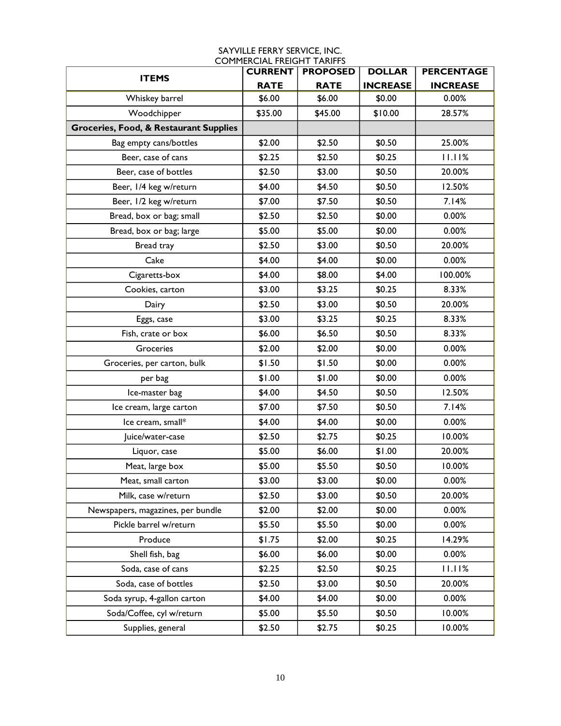| <b>ITEMS</b>                                      | <b>CURRENT</b> | <b>PROPOSED</b> | <b>DOLLAR</b>   | <b>PERCENTAGE</b> |
|---------------------------------------------------|----------------|-----------------|-----------------|-------------------|
|                                                   | <b>RATE</b>    | <b>RATE</b>     | <b>INCREASE</b> | <b>INCREASE</b>   |
| Whiskey barrel                                    | \$6.00         | \$6.00          | \$0.00          | 0.00%             |
| Woodchipper                                       | \$35.00        | \$45.00         | \$10.00         | 28.57%            |
| <b>Groceries, Food, &amp; Restaurant Supplies</b> |                |                 |                 |                   |
| Bag empty cans/bottles                            | \$2.00         | \$2.50          | \$0.50          | 25.00%            |
| Beer, case of cans                                | \$2.25         | \$2.50          | \$0.25          | 11.11%            |
| Beer, case of bottles                             | \$2.50         | \$3.00          | \$0.50          | 20.00%            |
| Beer, 1/4 keg w/return                            | \$4.00         | \$4.50          | \$0.50          | 12.50%            |
| Beer, 1/2 keg w/return                            | \$7.00         | \$7.50          | \$0.50          | 7.14%             |
| Bread, box or bag; small                          | \$2.50         | \$2.50          | \$0.00          | 0.00%             |
| Bread, box or bag; large                          | \$5.00         | \$5.00          | \$0.00          | 0.00%             |
| Bread tray                                        | \$2.50         | \$3.00          | \$0.50          | 20.00%            |
| Cake                                              | \$4.00         | \$4.00          | \$0.00          | 0.00%             |
| Cigaretts-box                                     | \$4.00         | \$8.00          | \$4.00          | 100.00%           |
| Cookies, carton                                   | \$3.00         | \$3.25          | \$0.25          | 8.33%             |
| Dairy                                             | \$2.50         | \$3.00          | \$0.50          | 20.00%            |
| Eggs, case                                        | \$3.00         | \$3.25          | \$0.25          | 8.33%             |
| Fish, crate or box                                | \$6.00         | \$6.50          | \$0.50          | 8.33%             |
| Groceries                                         | \$2.00         | \$2.00          | \$0.00          | 0.00%             |
| Groceries, per carton, bulk                       | \$1.50         | \$1.50          | \$0.00          | 0.00%             |
| per bag                                           | \$1.00         | \$1.00          | \$0.00          | 0.00%             |
| Ice-master bag                                    | \$4.00         | \$4.50          | \$0.50          | 12.50%            |
| Ice cream, large carton                           | \$7.00         | \$7.50          | \$0.50          | 7.14%             |
| Ice cream, small*                                 | \$4.00         | \$4.00          | \$0.00          | 0.00%             |
| Juice/water-case                                  | \$2.50         | \$2.75          | \$0.25          | 10.00%            |
| Liquor, case                                      | \$5.00         | \$6.00          | \$1.00          | 20.00%            |
| Meat, large box                                   | \$5.00         | \$5.50          | \$0.50          | 10.00%            |
| Meat, small carton                                | \$3.00         | \$3.00          | \$0.00          | 0.00%             |
| Milk, case w/return                               | \$2.50         | \$3.00          | \$0.50          | 20.00%            |
| Newspapers, magazines, per bundle                 | \$2.00         | \$2.00          | \$0.00          | 0.00%             |
| Pickle barrel w/return                            | \$5.50         | \$5.50          | \$0.00          | 0.00%             |
| Produce                                           | \$1.75         | \$2.00          | \$0.25          | 14.29%            |
| Shell fish, bag                                   | \$6.00         | \$6.00          | \$0.00          | 0.00%             |
| Soda, case of cans                                | \$2.25         | \$2.50          | \$0.25          | 11.11%            |
| Soda, case of bottles                             | \$2.50         | \$3.00          | \$0.50          | 20.00%            |
| Soda syrup, 4-gallon carton                       | \$4.00         | \$4.00          | \$0.00          | 0.00%             |
| Soda/Coffee, cyl w/return                         | \$5.00         | \$5.50          | \$0.50          | 10.00%            |
| Supplies, general                                 | \$2.50         | \$2.75          | \$0.25          | 10.00%            |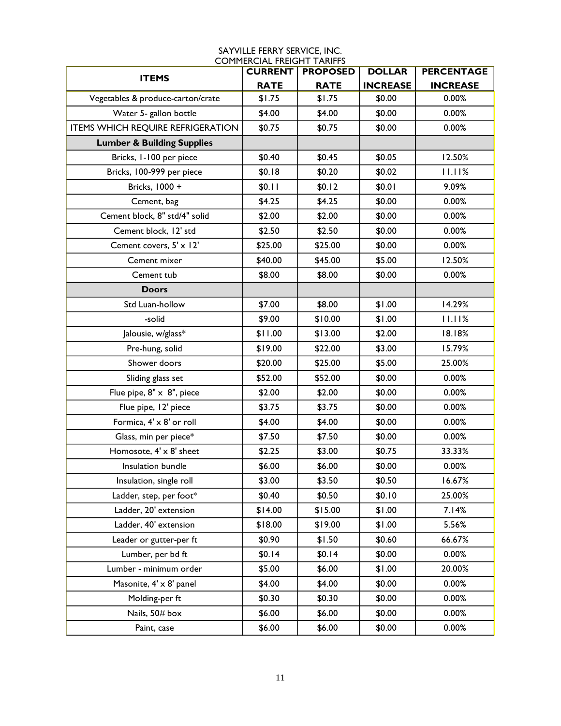| SAYVILLE FERRY SERVICE, INC.      |
|-----------------------------------|
| <b>COMMERCIAL FREIGHT TARIFFS</b> |

| <b>ITEMS</b>                             | <b>CURRENT</b> | <b>PROPOSED</b> | <b>DOLLAR</b>   | <b>PERCENTAGE</b> |
|------------------------------------------|----------------|-----------------|-----------------|-------------------|
|                                          | <b>RATE</b>    | <b>RATE</b>     | <b>INCREASE</b> | <b>INCREASE</b>   |
| Vegetables & produce-carton/crate        | \$1.75         | \$1.75          | \$0.00          | 0.00%             |
| Water 5- gallon bottle                   | \$4.00         | \$4.00          | \$0.00          | 0.00%             |
| <b>ITEMS WHICH REQUIRE REFRIGERATION</b> | \$0.75         | \$0.75          | \$0.00          | 0.00%             |
| <b>Lumber &amp; Building Supplies</b>    |                |                 |                 |                   |
| Bricks, 1-100 per piece                  | \$0.40         | \$0.45          | \$0.05          | 12.50%            |
| Bricks, 100-999 per piece                | \$0.18         | \$0.20          | \$0.02          | 11.11%            |
| Bricks, 1000 +                           | \$0.11         | \$0.12          | \$0.01          | 9.09%             |
| Cement, bag                              | \$4.25         | \$4.25          | \$0.00          | 0.00%             |
| Cement block, 8" std/4" solid            | \$2.00         | \$2.00          | \$0.00          | 0.00%             |
| Cement block, 12' std                    | \$2.50         | \$2.50          | \$0.00          | 0.00%             |
| Cement covers, 5' x 12'                  | \$25.00        | \$25.00         | \$0.00          | 0.00%             |
| Cement mixer                             | \$40.00        | \$45.00         | \$5.00          | 12.50%            |
| Cement tub                               | \$8.00         | \$8.00          | \$0.00          | 0.00%             |
| <b>Doors</b>                             |                |                 |                 |                   |
| Std Luan-hollow                          | \$7.00         | \$8.00          | \$1.00          | 14.29%            |
| -solid                                   | \$9.00         | \$10.00         | \$1.00          | 11.11%            |
| Jalousie, w/glass*                       | \$11.00        | \$13.00         | \$2.00          | 18.18%            |
| Pre-hung, solid                          | \$19.00        | \$22.00         | \$3.00          | 15.79%            |
| Shower doors                             | \$20.00        | \$25.00         | \$5.00          | 25.00%            |
| Sliding glass set                        | \$52.00        | \$52.00         | \$0.00          | 0.00%             |
| Flue pipe, 8" x 8", piece                | \$2.00         | \$2.00          | \$0.00          | 0.00%             |
| Flue pipe, 12' piece                     | \$3.75         | \$3.75          | \$0.00          | 0.00%             |
| Formica, 4' x 8' or roll                 | \$4.00         | \$4.00          | \$0.00          | 0.00%             |
| Glass, min per piece*                    | \$7.50         | \$7.50          | \$0.00          | 0.00%             |
| Homosote, 4' x 8' sheet                  | \$2.25         | \$3.00          | \$0.75          | 33.33%            |
| Insulation bundle                        | \$6.00         | \$6.00          | \$0.00          | 0.00%             |
| Insulation, single roll                  | \$3.00         | \$3.50          | \$0.50          | 16.67%            |
| Ladder, step, per foot*                  | \$0.40         | \$0.50          | \$0.10          | 25.00%            |
| Ladder, 20' extension                    | \$14.00        | \$15.00         | \$1.00          | 7.14%             |
| Ladder, 40' extension                    | \$18.00        | \$19.00         | \$1.00          | 5.56%             |
| Leader or gutter-per ft                  | \$0.90         | \$1.50          | \$0.60          | 66.67%            |
| Lumber, per bd ft                        | \$0.14         | \$0.14          | \$0.00          | 0.00%             |
| Lumber - minimum order                   | \$5.00         | \$6.00          | \$1.00          | 20.00%            |
| Masonite, 4' x 8' panel                  | \$4.00         | \$4.00          | \$0.00          | 0.00%             |
| Molding-per ft                           | \$0.30         | \$0.30          | \$0.00          | 0.00%             |
| Nails, 50# box                           | \$6.00         | \$6.00          | \$0.00          | 0.00%             |
| Paint, case                              | \$6.00         | \$6.00          | \$0.00          | 0.00%             |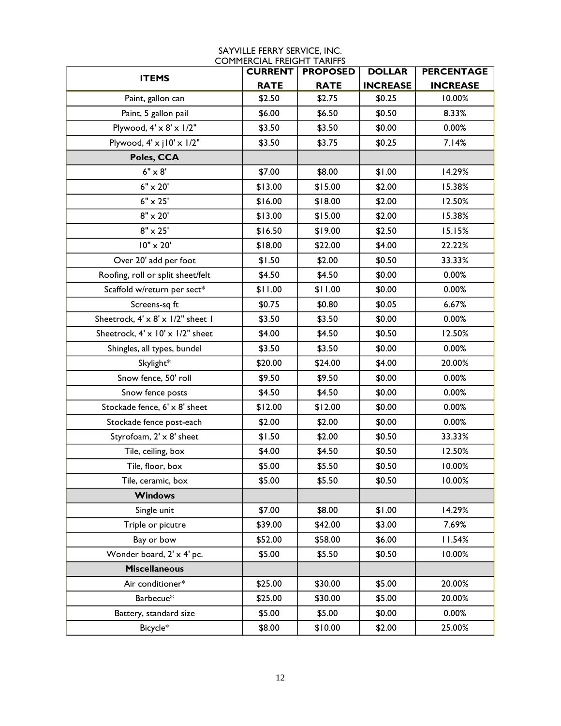| <b>ITEMS</b>                         | <b>CURRENT</b> | <b>PROPOSED</b> | <b>DOLLAR</b>   | <b>PERCENTAGE</b> |
|--------------------------------------|----------------|-----------------|-----------------|-------------------|
|                                      | <b>RATE</b>    | <b>RATE</b>     | <b>INCREASE</b> | <b>INCREASE</b>   |
| Paint, gallon can                    | \$2.50         | \$2.75          | \$0.25          | 10.00%            |
| Paint, 5 gallon pail                 | \$6.00         | \$6.50          | \$0.50          | 8.33%             |
| Plywood, $4' \times 8' \times 1/2"$  | \$3.50         | \$3.50          | \$0.00          | 0.00%             |
| Plywood, $4' \times 10' \times 1/2"$ | \$3.50         | \$3.75          | \$0.25          | 7.14%             |
| Poles, CCA                           |                |                 |                 |                   |
| $6" \times 8'$                       | \$7.00         | \$8.00          | \$1.00          | 14.29%            |
| $6" \times 20'$                      | \$13.00        | \$15.00         | \$2.00          | 15.38%            |
| $6" \times 25'$                      | \$16.00        | \$18.00         | \$2.00          | 12.50%            |
| $8" \times 20'$                      | \$13.00        | \$15.00         | \$2.00          | 15.38%            |
| $8" \times 25'$                      | \$16.50        | \$19.00         | \$2.50          | 15.15%            |
| 10" x 20'                            | \$18.00        | \$22.00         | \$4.00          | 22.22%            |
| Over 20' add per foot                | \$1.50         | \$2.00          | \$0.50          | 33.33%            |
| Roofing, roll or split sheet/felt    | \$4.50         | \$4.50          | \$0.00          | 0.00%             |
| Scaffold w/return per sect*          | \$11.00        | \$11.00         | \$0.00          | 0.00%             |
| Screens-sq ft                        | \$0.75         | \$0.80          | \$0.05          | 6.67%             |
| Sheetrock, 4' x 8' x 1/2" sheet 1    | \$3.50         | \$3.50          | \$0.00          | 0.00%             |
| Sheetrock, 4' x 10' x 1/2" sheet     | \$4.00         | \$4.50          | \$0.50          | 12.50%            |
| Shingles, all types, bundel          | \$3.50         | \$3.50          | \$0.00          | 0.00%             |
| Skylight*                            | \$20.00        | \$24.00         | \$4.00          | 20.00%            |
| Snow fence, 50' roll                 | \$9.50         | \$9.50          | \$0.00          | 0.00%             |
| Snow fence posts                     | \$4.50         | \$4.50          | \$0.00          | 0.00%             |
| Stockade fence, 6' x 8' sheet        | \$12.00        | \$12.00         | \$0.00          | 0.00%             |
| Stockade fence post-each             | \$2.00         | \$2.00          | \$0.00          | 0.00%             |
| Styrofoam, 2' x 8' sheet             | \$1.50         | \$2.00          | \$0.50          | 33.33%            |
| Tile, ceiling, box                   | \$4.00         | \$4.50          | \$0.50          | 12.50%            |
| Tile, floor, box                     | \$5.00         | \$5.50          | \$0.50          | 10.00%            |
| Tile, ceramic, box                   | \$5.00         | \$5.50          | \$0.50          | 10.00%            |
| <b>Windows</b>                       |                |                 |                 |                   |
| Single unit                          | \$7.00         | \$8.00          | \$1.00          | 14.29%            |
| Triple or picutre                    | \$39.00        | \$42.00         | \$3.00          | 7.69%             |
| Bay or bow                           | \$52.00        | \$58.00         | \$6.00          | 11.54%            |
| Wonder board, 2' x 4' pc.            | \$5.00         | \$5.50          | \$0.50          | 10.00%            |
| <b>Miscellaneous</b>                 |                |                 |                 |                   |
| Air conditioner*                     | \$25.00        | \$30.00         | \$5.00          | 20.00%            |
| Barbecue*                            | \$25.00        | \$30.00         | \$5.00          | 20.00%            |
| Battery, standard size               | \$5.00         | \$5.00          | \$0.00          | 0.00%             |
| Bicycle*                             | \$8.00         | \$10.00         | \$2.00          | 25.00%            |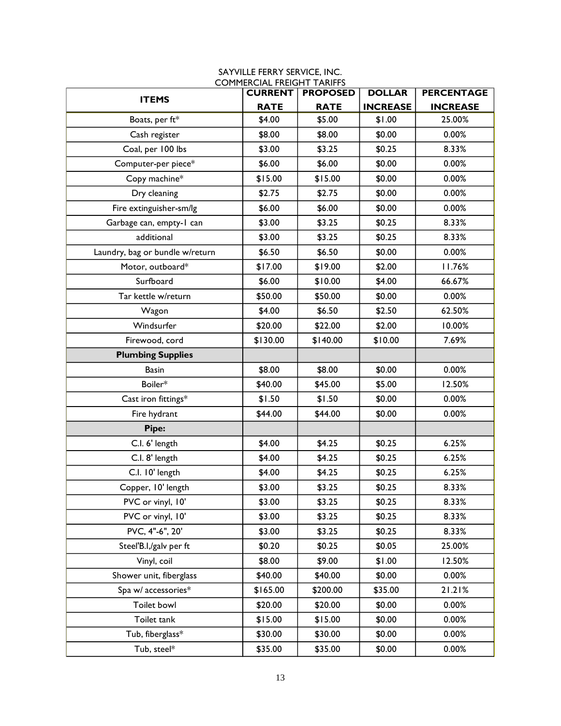|                                 | <b>CURRENT</b> | <b>PROPOSED</b> | <b>DOLLAR</b>   | <b>PERCENTAGE</b> |
|---------------------------------|----------------|-----------------|-----------------|-------------------|
| <b>ITEMS</b>                    | <b>RATE</b>    | <b>RATE</b>     | <b>INCREASE</b> | <b>INCREASE</b>   |
| Boats, per ft*                  | \$4.00         | \$5.00          | \$1.00          | 25.00%            |
| Cash register                   | \$8.00         | \$8.00          | \$0.00          | 0.00%             |
| Coal, per 100 lbs               | \$3.00         | \$3.25          | \$0.25          | 8.33%             |
| Computer-per piece*             | \$6.00         | \$6.00          | \$0.00          | 0.00%             |
| Copy machine*                   | \$15.00        | \$15.00         | \$0.00          | 0.00%             |
| Dry cleaning                    | \$2.75         | \$2.75          | \$0.00          | 0.00%             |
| Fire extinguisher-sm/lg         | \$6.00         | \$6.00          | \$0.00          | 0.00%             |
| Garbage can, empty-1 can        | \$3.00         | \$3.25          | \$0.25          | 8.33%             |
| additional                      | \$3.00         | \$3.25          | \$0.25          | 8.33%             |
| Laundry, bag or bundle w/return | \$6.50         | \$6.50          | \$0.00          | 0.00%             |
| Motor, outboard*                | \$17.00        | \$19.00         | \$2.00          | 11.76%            |
| Surfboard                       | \$6.00         | \$10.00         | \$4.00          | 66.67%            |
| Tar kettle w/return             | \$50.00        | \$50.00         | \$0.00          | 0.00%             |
| Wagon                           | \$4.00         | \$6.50          | \$2.50          | 62.50%            |
| Windsurfer                      | \$20.00        | \$22.00         | \$2.00          | 10.00%            |
| Firewood, cord                  | \$130.00       | \$140.00        | \$10.00         | 7.69%             |
| <b>Plumbing Supplies</b>        |                |                 |                 |                   |
| <b>Basin</b>                    | \$8.00         | \$8.00          | \$0.00          | 0.00%             |
| Boiler*                         | \$40.00        | \$45.00         | \$5.00          | 12.50%            |
| Cast iron fittings*             | \$1.50         | \$1.50          | \$0.00          | 0.00%             |
| Fire hydrant                    | \$44.00        | \$44.00         | \$0.00          | 0.00%             |
| Pipe:                           |                |                 |                 |                   |
| C.I. 6' length                  | \$4.00         | \$4.25          | \$0.25          | 6.25%             |
| C.I. 8' length                  | \$4.00         | \$4.25          | \$0.25          | 6.25%             |
| C.I. 10' length                 | \$4.00         | \$4.25          | \$0.25          | 6.25%             |
| Copper, 10' length              | \$3.00         | \$3.25          | \$0.25          | 8.33%             |
| PVC or vinyl, 10'               | \$3.00         | \$3.25          | \$0.25          | 8.33%             |
| PVC or vinyl, 10'               | \$3.00         | \$3.25          | \$0.25          | 8.33%             |
| PVC, 4"-6", 20'                 | \$3.00         | \$3.25          | \$0.25          | 8.33%             |
| Steel'B.I,/galv per ft          | \$0.20         | \$0.25          | \$0.05          | 25.00%            |
| Vinyl, coil                     | \$8.00         | \$9.00          | \$1.00          | 12.50%            |
| Shower unit, fiberglass         | \$40.00        | \$40.00         | \$0.00          | 0.00%             |
| Spa w/ accessories*             | \$165.00       | \$200.00        | \$35.00         | 21.21%            |
| Toilet bowl                     | \$20.00        | \$20.00         | \$0.00          | 0.00%             |
| Toilet tank                     | \$15.00        | \$15.00         | \$0.00          | 0.00%             |
| Tub, fiberglass*                | \$30.00        | \$30.00         | \$0.00          | 0.00%             |
| Tub, steel*                     | \$35.00        | \$35.00         | \$0.00          | 0.00%             |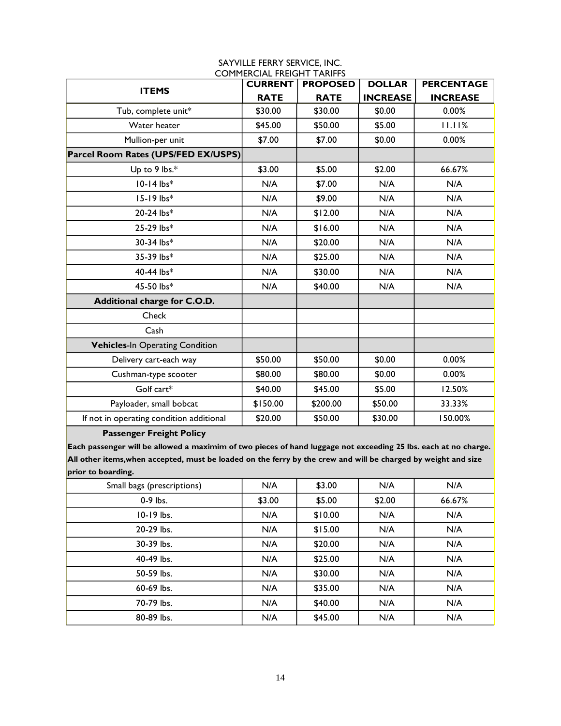| <b>ITEMS</b>                             | <b>CURRENT</b> | <b>PROPOSED</b> | <b>DOLLAR</b>   | <b>PERCENTAGE</b> |
|------------------------------------------|----------------|-----------------|-----------------|-------------------|
|                                          | <b>RATE</b>    | <b>RATE</b>     | <b>INCREASE</b> | <b>INCREASE</b>   |
| Tub, complete unit*                      | \$30.00        | \$30.00         | \$0.00          | 0.00%             |
| Water heater                             | \$45.00        | \$50.00         | \$5.00          | 11.11%            |
| Mullion-per unit                         | \$7.00         | \$7.00          | \$0.00          | 0.00%             |
| Parcel Room Rates (UPS/FED EX/USPS)      |                |                 |                 |                   |
| Up to 9 lbs.*                            | \$3.00         | \$5.00          | \$2.00          | 66.67%            |
| $10-14$ lbs*                             | N/A            | \$7.00          | N/A             | N/A               |
| 15-19 lbs*                               | N/A            | \$9.00          | N/A             | N/A               |
| 20-24 lbs*                               | N/A            | \$12.00         | N/A             | N/A               |
| 25-29 lbs*                               | N/A            | \$16.00         | N/A             | N/A               |
| 30-34 lbs*                               | N/A            | \$20.00         | N/A             | N/A               |
| 35-39 lbs*                               | N/A            | \$25.00         | N/A             | N/A               |
| 40-44 lbs*                               | N/A            | \$30.00         | N/A             | N/A               |
| 45-50 lbs*                               | N/A            | \$40.00         | N/A             | N/A               |
| Additional charge for C.O.D.             |                |                 |                 |                   |
| Check                                    |                |                 |                 |                   |
| Cash                                     |                |                 |                 |                   |
| <b>Vehicles-In Operating Condition</b>   |                |                 |                 |                   |
| Delivery cart-each way                   | \$50.00        | \$50.00         | \$0.00          | 0.00%             |
| Cushman-type scooter                     | \$80.00        | \$80.00         | \$0.00          | 0.00%             |
| Golf cart*                               | \$40.00        | \$45.00         | \$5.00          | 12.50%            |
| Payloader, small bobcat                  | \$150.00       | \$200.00        | \$50.00         | 33.33%            |
| If not in operating condition additional | \$20.00        | \$50.00         | \$30.00         | 150.00%           |
| <b>Passenger Freight Policy</b>          |                |                 |                 |                   |

**Each passenger will be allowed a maximim of two pieces of hand luggage not exceeding 25 lbs. each at no charge. All other items,when accepted, must be loaded on the ferry by the crew and will be charged by weight and size prior to boarding.**

| Small bags (prescriptions) | N/A    | \$3.00  | N/A    | N/A    |
|----------------------------|--------|---------|--------|--------|
| 0-9 lbs.                   | \$3.00 | \$5.00  | \$2.00 | 66.67% |
| 10-19 lbs.                 | N/A    | \$10.00 | N/A    | N/A    |
| 20-29 lbs.                 | N/A    | \$15.00 | N/A    | N/A    |
| 30-39 lbs.                 | N/A    | \$20.00 | N/A    | N/A    |
| 40-49 lbs.                 | N/A    | \$25.00 | N/A    | N/A    |
| 50-59 lbs.                 | N/A    | \$30.00 | N/A    | N/A    |
| 60-69 lbs.                 | N/A    | \$35.00 | N/A    | N/A    |
| 70-79 lbs.                 | N/A    | \$40.00 | N/A    | N/A    |
| 80-89 lbs.                 | N/A    | \$45.00 | N/A    | N/A    |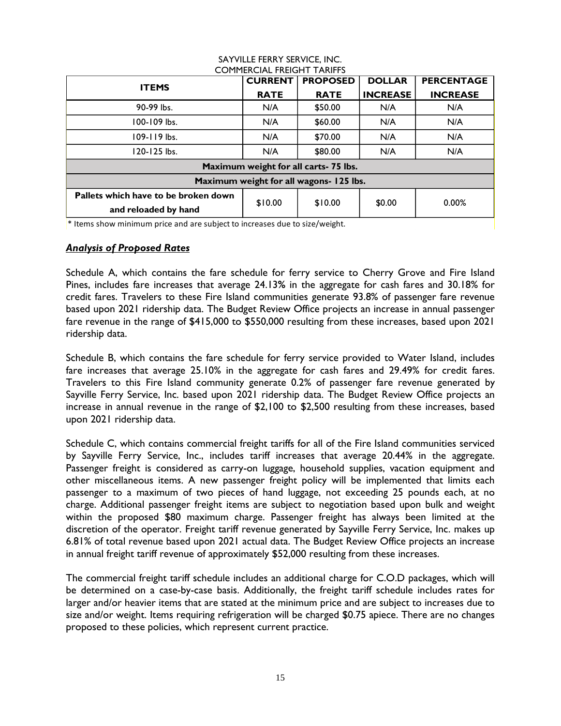| COI II ILINCIAL I INLIGI II TAINIT J                                         |                |                 |                 |                   |  |  |
|------------------------------------------------------------------------------|----------------|-----------------|-----------------|-------------------|--|--|
| <b>ITEMS</b>                                                                 | <b>CURRENT</b> | <b>PROPOSED</b> | <b>DOLLAR</b>   | <b>PERCENTAGE</b> |  |  |
|                                                                              | <b>RATE</b>    | <b>RATE</b>     | <b>INCREASE</b> | <b>INCREASE</b>   |  |  |
| 90-99 lbs.                                                                   | N/A            | \$50.00         | N/A             | N/A               |  |  |
| 100-109 lbs.                                                                 | N/A            | \$60.00         | N/A             | N/A               |  |  |
| 109-119 lbs.                                                                 | N/A            | \$70.00         | N/A             | N/A               |  |  |
| 120-125 lbs.                                                                 | N/A            | \$80.00         | N/A             | N/A               |  |  |
| Maximum weight for all carts- 75 lbs.                                        |                |                 |                 |                   |  |  |
| Maximum weight for all wagons- 125 lbs.                                      |                |                 |                 |                   |  |  |
| Pallets which have to be broken down                                         | \$10.00        | \$10.00         |                 | 0.00%             |  |  |
| and reloaded by hand                                                         |                |                 | \$0.00          |                   |  |  |
| $*$ theme chow minimum price and are subject to increased due to size weight |                |                 |                 |                   |  |  |

\* Items show minimum price and are subject to increases due to size/weight.

#### *Analysis of Proposed Rates*

Schedule A, which contains the fare schedule for ferry service to Cherry Grove and Fire Island Pines, includes fare increases that average 24.13**%** in the aggregate for cash fares and 30.18% for credit fares. Travelers to these Fire Island communities generate 93.8% of passenger fare revenue based upon 2021 ridership data. The Budget Review Office projects an increase in annual passenger fare revenue in the range of \$415,000 to \$550,000 resulting from these increases, based upon 2021 ridership data.

Schedule B, which contains the fare schedule for ferry service provided to Water Island, includes fare increases that average 25.10% in the aggregate for cash fares and 29.49% for credit fares. Travelers to this Fire Island community generate 0.2% of passenger fare revenue generated by Sayville Ferry Service, Inc. based upon 2021 ridership data. The Budget Review Office projects an increase in annual revenue in the range of \$2,100 to \$2,500 resulting from these increases, based upon 2021 ridership data.

Schedule C, which contains commercial freight tariffs for all of the Fire Island communities serviced by Sayville Ferry Service, Inc., includes tariff increases that average 20.44% in the aggregate. Passenger freight is considered as carry-on luggage, household supplies, vacation equipment and other miscellaneous items. A new passenger freight policy will be implemented that limits each passenger to a maximum of two pieces of hand luggage, not exceeding 25 pounds each, at no charge. Additional passenger freight items are subject to negotiation based upon bulk and weight within the proposed \$80 maximum charge. Passenger freight has always been limited at the discretion of the operator. Freight tariff revenue generated by Sayville Ferry Service, Inc. makes up 6.81% of total revenue based upon 2021 actual data. The Budget Review Office projects an increase in annual freight tariff revenue of approximately \$52,000 resulting from these increases.

The commercial freight tariff schedule includes an additional charge for C.O.D packages, which will be determined on a case-by-case basis. Additionally, the freight tariff schedule includes rates for larger and/or heavier items that are stated at the minimum price and are subject to increases due to size and/or weight. Items requiring refrigeration will be charged \$0.75 apiece. There are no changes proposed to these policies, which represent current practice.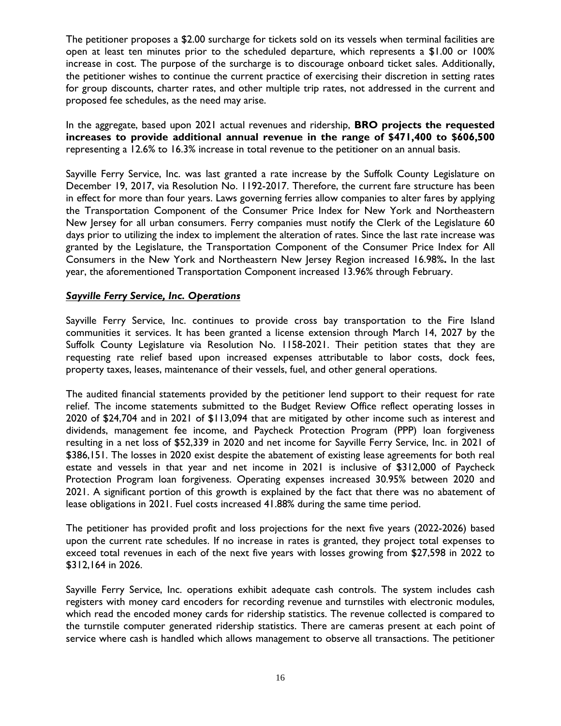The petitioner proposes a \$2.00 surcharge for tickets sold on its vessels when terminal facilities are open at least ten minutes prior to the scheduled departure, which represents a \$1.00 or 100% increase in cost. The purpose of the surcharge is to discourage onboard ticket sales. Additionally, the petitioner wishes to continue the current practice of exercising their discretion in setting rates for group discounts, charter rates, and other multiple trip rates, not addressed in the current and proposed fee schedules, as the need may arise.

In the aggregate, based upon 2021 actual revenues and ridership, **BRO projects the requested increases to provide additional annual revenue in the range of \$471,400 to \$606,500** representing a 12.6% to 16.3% increase in total revenue to the petitioner on an annual basis.

Sayville Ferry Service, Inc. was last granted a rate increase by the Suffolk County Legislature on December 19, 2017, via Resolution No. 1192-2017. Therefore, the current fare structure has been in effect for more than four years. Laws governing ferries allow companies to alter fares by applying the Transportation Component of the Consumer Price Index for New York and Northeastern New Jersey for all urban consumers. Ferry companies must notify the Clerk of the Legislature 60 days prior to utilizing the index to implement the alteration of rates. Since the last rate increase was granted by the Legislature, the Transportation Component of the Consumer Price Index for All Consumers in the New York and Northeastern New Jersey Region increased 16.98%**.** In the last year, the aforementioned Transportation Component increased 13.96% through February.

# *Sayville Ferry Service, Inc. Operations*

Sayville Ferry Service, Inc. continues to provide cross bay transportation to the Fire Island communities it services. It has been granted a license extension through March 14, 2027 by the Suffolk County Legislature via Resolution No. 1158-2021. Their petition states that they are requesting rate relief based upon increased expenses attributable to labor costs, dock fees, property taxes, leases, maintenance of their vessels, fuel, and other general operations.

The audited financial statements provided by the petitioner lend support to their request for rate relief. The income statements submitted to the Budget Review Office reflect operating losses in 2020 of \$24,704 and in 2021 of \$113,094 that are mitigated by other income such as interest and dividends, management fee income, and Paycheck Protection Program (PPP) loan forgiveness resulting in a net loss of \$52,339 in 2020 and net income for Sayville Ferry Service, Inc. in 2021 of \$386,151. The losses in 2020 exist despite the abatement of existing lease agreements for both real estate and vessels in that year and net income in 2021 is inclusive of \$312,000 of Paycheck Protection Program loan forgiveness. Operating expenses increased 30.95% between 2020 and 2021. A significant portion of this growth is explained by the fact that there was no abatement of lease obligations in 2021. Fuel costs increased 41.88% during the same time period.

The petitioner has provided profit and loss projections for the next five years (2022-2026) based upon the current rate schedules. If no increase in rates is granted, they project total expenses to exceed total revenues in each of the next five years with losses growing from \$27,598 in 2022 to \$312,164 in 2026.

Sayville Ferry Service, Inc. operations exhibit adequate cash controls. The system includes cash registers with money card encoders for recording revenue and turnstiles with electronic modules, which read the encoded money cards for ridership statistics. The revenue collected is compared to the turnstile computer generated ridership statistics. There are cameras present at each point of service where cash is handled which allows management to observe all transactions. The petitioner